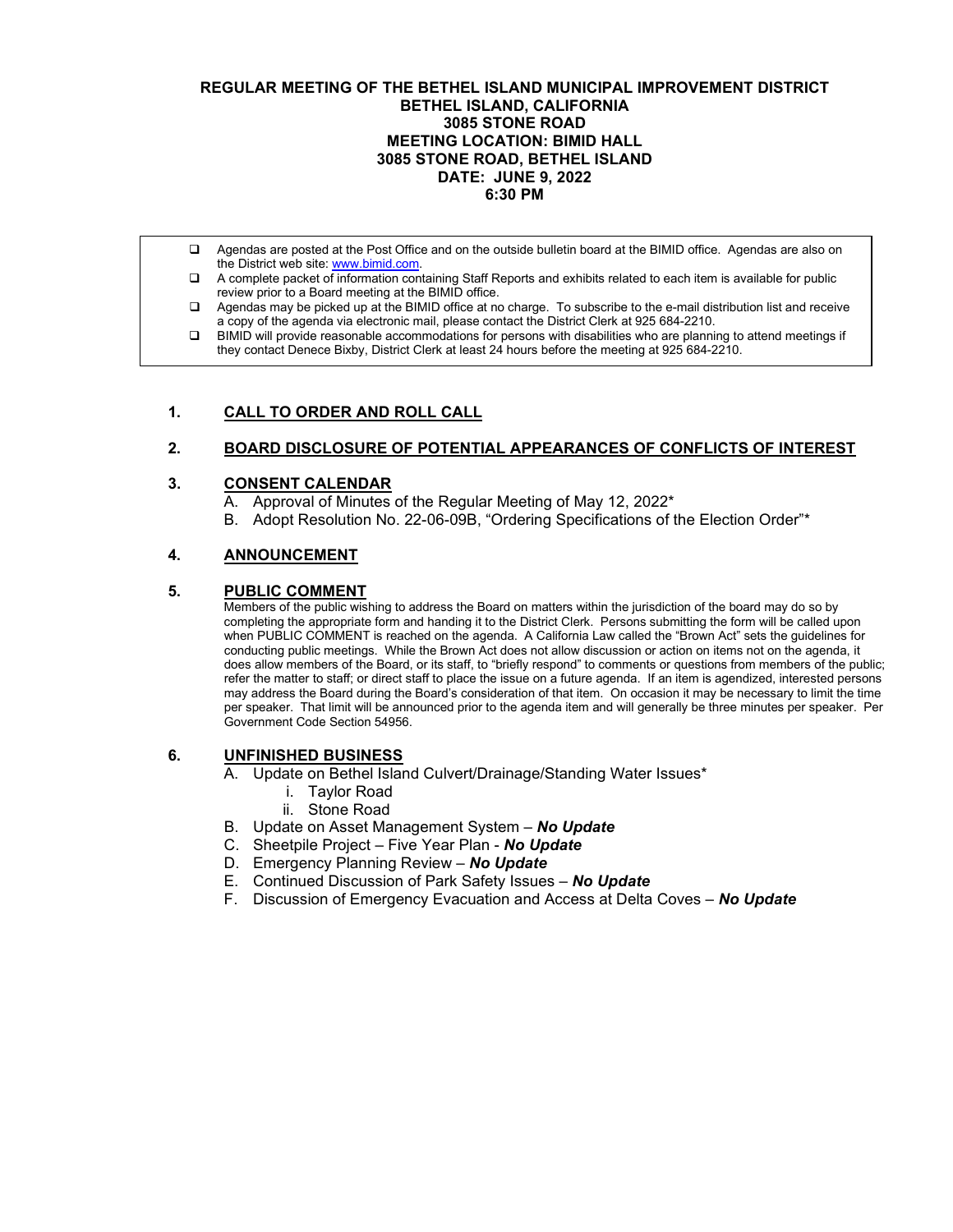### **REGULAR MEETING OF THE BETHEL ISLAND MUNICIPAL IMPROVEMENT DISTRICT BETHEL ISLAND, CALIFORNIA 3085 STONE ROAD MEETING LOCATION: BIMID HALL 3085 STONE ROAD, BETHEL ISLAND DATE: JUNE 9, 2022 6:30 PM**

- Agendas are posted at the Post Office and on the outside bulletin board at the BIMID office. Agendas are also on the District web site: [www.bimid.com.](http://www.bimid.com/)
- A complete packet of information containing Staff Reports and exhibits related to each item is available for public review prior to a Board meeting at the BIMID office.
- Agendas may be picked up at the BIMID office at no charge. To subscribe to the e-mail distribution list and receive a copy of the agenda via electronic mail, please contact the District Clerk at 925 684-2210.
- BIMID will provide reasonable accommodations for persons with disabilities who are planning to attend meetings if they contact Denece Bixby, District Clerk at least 24 hours before the meeting at 925 684-2210.

## **1. CALL TO ORDER AND ROLL CALL**

## **2. BOARD DISCLOSURE OF POTENTIAL APPEARANCES OF CONFLICTS OF INTEREST**

### **3. CONSENT CALENDAR**

A. Approval of Minutes of the Regular Meeting of May 12, 2022\*

B. Adopt Resolution No. 22-06-09B, "Ordering Specifications of the Election Order"\*

## **4. ANNOUNCEMENT**

### **5. PUBLIC COMMENT**

Members of the public wishing to address the Board on matters within the jurisdiction of the board may do so by completing the appropriate form and handing it to the District Clerk. Persons submitting the form will be called upon when PUBLIC COMMENT is reached on the agenda. A California Law called the "Brown Act" sets the guidelines for conducting public meetings. While the Brown Act does not allow discussion or action on items not on the agenda, it does allow members of the Board, or its staff, to "briefly respond" to comments or questions from members of the public; refer the matter to staff; or direct staff to place the issue on a future agenda. If an item is agendized, interested persons may address the Board during the Board's consideration of that item. On occasion it may be necessary to limit the time per speaker. That limit will be announced prior to the agenda item and will generally be three minutes per speaker. Per Government Code Section 54956.

#### **6. UNFINISHED BUSINESS**

- A. Update on Bethel Island Culvert/Drainage/Standing Water Issues\*
	- i. Taylor Road
	- ii. Stone Road
- B. Update on Asset Management System *No Update*
- C. Sheetpile Project Five Year Plan *No Update*
- D. Emergency Planning Review *No Update*
- E. Continued Discussion of Park Safety Issues *No Update*
- F. Discussion of Emergency Evacuation and Access at Delta Coves *No Update*